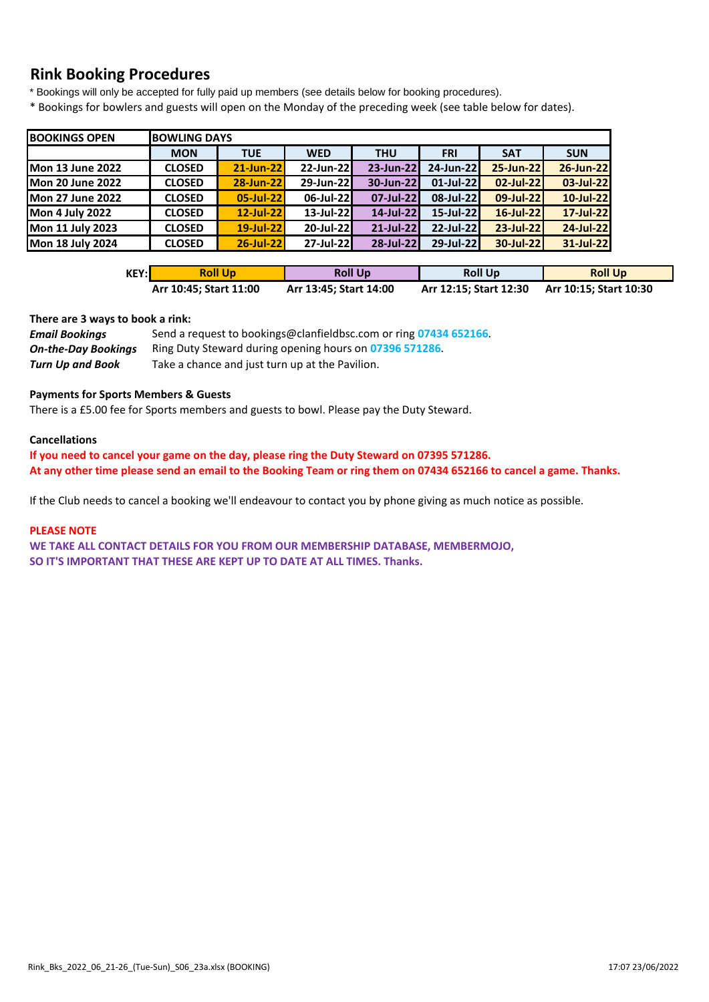# **Rink Booking Procedures**

\* Bookings will only be accepted for fully paid up members (see details below for booking procedures).

\* Bookings for bowlers and guests will open on the Monday of the preceding week (see table below for dates).

| <b>BOOKINGS OPEN</b>    |               | <b>BOWLING DAYS</b> |              |            |              |            |            |  |  |  |  |
|-------------------------|---------------|---------------------|--------------|------------|--------------|------------|------------|--|--|--|--|
|                         | <b>MON</b>    | <b>TUE</b>          | <b>WED</b>   | <b>THU</b> |              | <b>SAT</b> | <b>SUN</b> |  |  |  |  |
| <b>Mon 13 June 2022</b> | <b>CLOSED</b> | 21-Jun-22           | 22-Jun-22    | 23-Jun-22  | 24-Jun-22    | 25-Jun-22  | 26-Jun-22  |  |  |  |  |
| <b>Mon 20 June 2022</b> | <b>CLOSED</b> | 28-Jun-22           | 29-Jun-22    | 30-Jun-22  | $01$ -Jul-22 | 02-Jul-22  | 03-Jul-22  |  |  |  |  |
| <b>Mon 27 June 2022</b> | <b>CLOSED</b> | 05-Jul-22           | 06-Jul-22    | 07-Jul-22  | 08-Jul-22    | 09-Jul-22  | 10-Jul-22  |  |  |  |  |
| <b>Mon 4 July 2022</b>  | <b>CLOSED</b> | 12-Jul-22           | $13$ -Jul-22 | 14-Jul-22  | $15$ -Jul-22 | 16-Jul-22  | 17-Jul-22  |  |  |  |  |
| Mon 11 July 2023        | <b>CLOSED</b> | 19-Jul-22           | 20-Jul-22    | 21-Jul-22  | 22-Jul-22    | 23-Jul-22  | 24-Jul-22  |  |  |  |  |
| <b>Mon 18 July 2024</b> | <b>CLOSED</b> | 26-Jul-22           | $27$ -Jul-22 | 28-Jul-22  | 29-Jul-22    | 30-Jul-22  | 31-Jul-22  |  |  |  |  |

| KEY:l | <b>Roll Up</b>         | <b>Roll Up</b>         | <b>Roll Up</b>         | <b>Roll Up</b>         |
|-------|------------------------|------------------------|------------------------|------------------------|
|       | Arr 10:45; Start 11:00 | Arr 13:45; Start 14:00 | Arr 12:15; Start 12:30 | Arr 10:15; Start 10:30 |

#### **There are 3 ways to book a rink:**

| <b>Email Bookings</b>      | Send a request to bookings@clanfieldbsc.com or ring 07434 652166. |
|----------------------------|-------------------------------------------------------------------|
| <b>On-the-Day Bookings</b> | Ring Duty Steward during opening hours on 07396 571286.           |
| Turn Up and Book           | Take a chance and just turn up at the Pavilion.                   |

#### **Payments for Sports Members & Guests**

There is a £5.00 fee for Sports members and guests to bowl. Please pay the Duty Steward.

#### **Cancellations**

**If you need to cancel your game on the day, please ring the Duty Steward on 07395 571286. At any other time please send an email to the Booking Team or ring them on 07434 652166 to cancel a game. Thanks.**

If the Club needs to cancel a booking we'll endeavour to contact you by phone giving as much notice as possible.

#### **PLEASE NOTE**

**WE TAKE ALL CONTACT DETAILS FOR YOU FROM OUR MEMBERSHIP DATABASE, MEMBERMOJO, SO IT'S IMPORTANT THAT THESE ARE KEPT UP TO DATE AT ALL TIMES. Thanks.**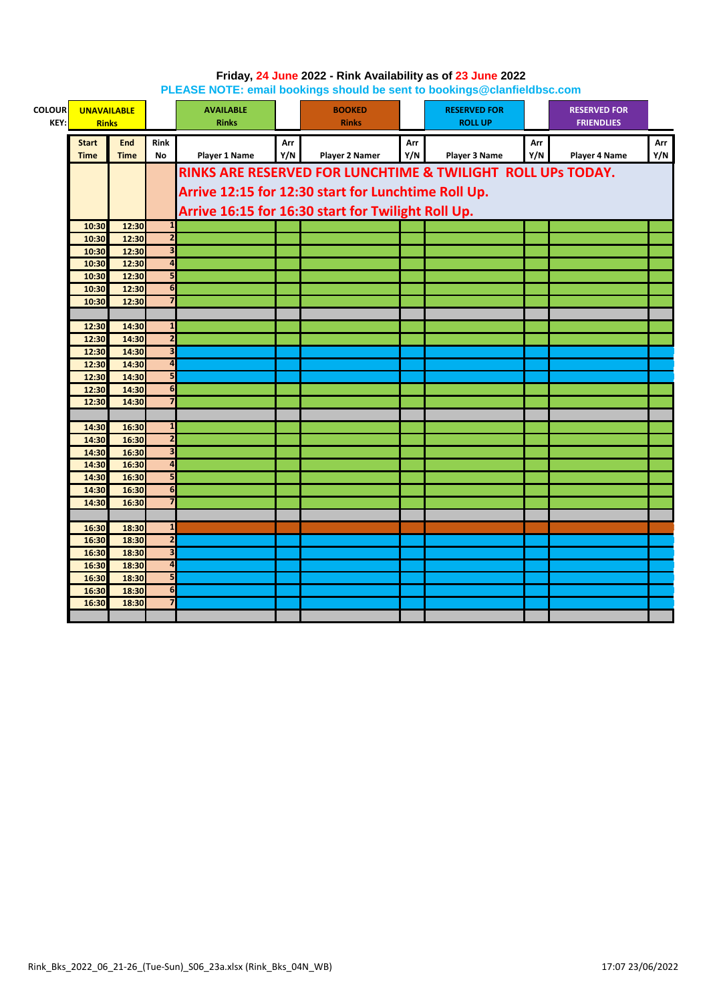| <b>COLOUR</b><br>KEY: |                | <b>UNAVAILABLE</b><br><b>Rinks</b> |                         | <b>AVAILABLE</b><br><b>Rinks</b> |                                                     | <b>BOOKED</b><br><b>Rinks</b>                               |     | <b>RESERVED FOR</b><br><b>ROLL UP</b> |     | <b>RESERVED FOR</b><br><b>FRIENDLIES</b> |     |  |  |
|-----------------------|----------------|------------------------------------|-------------------------|----------------------------------|-----------------------------------------------------|-------------------------------------------------------------|-----|---------------------------------------|-----|------------------------------------------|-----|--|--|
|                       | <b>Start</b>   | <b>End</b>                         | <b>Rink</b>             |                                  | Arr                                                 |                                                             | Arr |                                       | Arr |                                          | Arr |  |  |
|                       | <b>Time</b>    | <b>Time</b>                        | <b>No</b>               | <b>Player 1 Name</b>             | Y/N                                                 | <b>Player 2 Namer</b>                                       | Y/N | Player 3 Name                         | Y/N | Player 4 Name                            | Y/N |  |  |
|                       |                |                                    |                         |                                  |                                                     | RINKS ARE RESERVED FOR LUNCHTIME & TWILIGHT ROLL UPS TODAY. |     |                                       |     |                                          |     |  |  |
|                       |                |                                    |                         |                                  |                                                     |                                                             |     |                                       |     |                                          |     |  |  |
|                       |                |                                    |                         |                                  | Arrive 12:15 for 12:30 start for Lunchtime Roll Up. |                                                             |     |                                       |     |                                          |     |  |  |
|                       |                |                                    |                         |                                  |                                                     | Arrive 16:15 for 16:30 start for Twilight Roll Up.          |     |                                       |     |                                          |     |  |  |
|                       | 10:30          | 12:30                              | $\mathbf{1}$            |                                  |                                                     |                                                             |     |                                       |     |                                          |     |  |  |
|                       | 10:30          | 12:30                              | $\overline{2}$          |                                  |                                                     |                                                             |     |                                       |     |                                          |     |  |  |
|                       | 10:30          | 12:30                              | $\overline{\mathbf{3}}$ |                                  |                                                     |                                                             |     |                                       |     |                                          |     |  |  |
|                       | 10:30          | 12:30                              | $\overline{a}$          |                                  |                                                     |                                                             |     |                                       |     |                                          |     |  |  |
|                       | 10:30          | 12:30                              | 5                       |                                  |                                                     |                                                             |     |                                       |     |                                          |     |  |  |
|                       | 10:30          | 12:30                              | 6                       |                                  |                                                     |                                                             |     |                                       |     |                                          |     |  |  |
|                       | 10:30          | 12:30                              | $\overline{7}$          |                                  |                                                     |                                                             |     |                                       |     |                                          |     |  |  |
|                       |                | 14:30                              | $\mathbf{1}$            |                                  |                                                     |                                                             |     |                                       |     |                                          |     |  |  |
|                       | 12:30<br>12:30 | 14:30                              | $\overline{2}$          |                                  |                                                     |                                                             |     |                                       |     |                                          |     |  |  |
|                       | 12:30          | 14:30                              | $\overline{\mathbf{3}}$ |                                  |                                                     |                                                             |     |                                       |     |                                          |     |  |  |
|                       | 12:30          | 14:30                              | $\overline{4}$          |                                  |                                                     |                                                             |     |                                       |     |                                          |     |  |  |
|                       | 12:30          | 14:30                              | 5                       |                                  |                                                     |                                                             |     |                                       |     |                                          |     |  |  |
|                       | 12:30          | 14:30                              | 6                       |                                  |                                                     |                                                             |     |                                       |     |                                          |     |  |  |
|                       | 12:30          | 14:30                              | 7                       |                                  |                                                     |                                                             |     |                                       |     |                                          |     |  |  |
|                       |                |                                    |                         |                                  |                                                     |                                                             |     |                                       |     |                                          |     |  |  |
|                       | 14:30          | 16:30                              | $\mathbf{1}$            |                                  |                                                     |                                                             |     |                                       |     |                                          |     |  |  |
|                       | 14:30          | 16:30                              | $\overline{2}$          |                                  |                                                     |                                                             |     |                                       |     |                                          |     |  |  |
|                       | 14:30          | 16:30                              | $\overline{\mathbf{3}}$ |                                  |                                                     |                                                             |     |                                       |     |                                          |     |  |  |
|                       | 14:30          | 16:30                              | $\overline{4}$          |                                  |                                                     |                                                             |     |                                       |     |                                          |     |  |  |
|                       | 14:30          | 16:30                              | 5                       |                                  |                                                     |                                                             |     |                                       |     |                                          |     |  |  |
|                       | 14:30          | 16:30                              | $6\phantom{1}6$         |                                  |                                                     |                                                             |     |                                       |     |                                          |     |  |  |
|                       | 14:30          | 16:30                              | $\overline{7}$          |                                  |                                                     |                                                             |     |                                       |     |                                          |     |  |  |
|                       |                |                                    |                         |                                  |                                                     |                                                             |     |                                       |     |                                          |     |  |  |
|                       | 16:30          | 18:30                              | $\mathbf{1}$            |                                  |                                                     |                                                             |     |                                       |     |                                          |     |  |  |
|                       | 16:30          | 18:30                              | $\overline{2}$          |                                  |                                                     |                                                             |     |                                       |     |                                          |     |  |  |
|                       | 16:30          | 18:30                              | $\overline{\mathbf{3}}$ |                                  |                                                     |                                                             |     |                                       |     |                                          |     |  |  |
|                       | 16:30          | 18:30                              | $\overline{\mathbf{a}}$ |                                  |                                                     |                                                             |     |                                       |     |                                          |     |  |  |
|                       | 16:30          | 18:30                              | 5                       |                                  |                                                     |                                                             |     |                                       |     |                                          |     |  |  |
|                       | 16:30          | 18:30                              | 6                       |                                  |                                                     |                                                             |     |                                       |     |                                          |     |  |  |
|                       | 16:30          | 18:30                              | $\overline{\mathbf{z}}$ |                                  |                                                     |                                                             |     |                                       |     |                                          |     |  |  |
|                       |                |                                    |                         |                                  |                                                     |                                                             |     |                                       |     |                                          |     |  |  |

### **Friday, 24 June 2022 - Rink Availability as of 23 June 2022 PLEASE NOTE: email bookings should be sent to bookings@clanfieldbsc.com**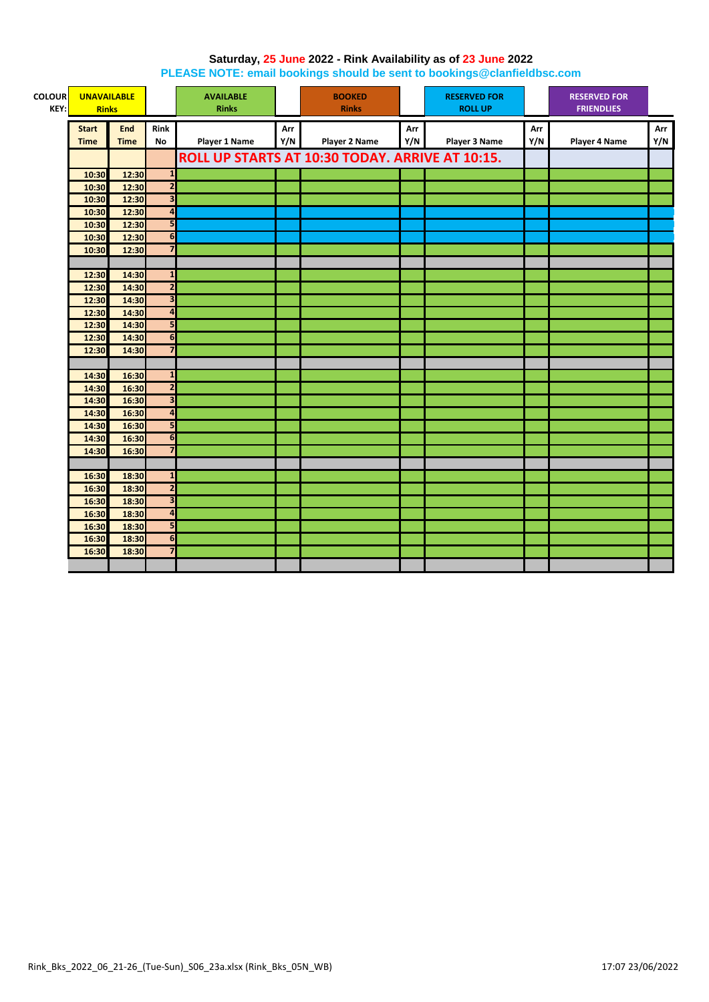## **Saturday, 25 June 2022 - Rink Availability as of 23 June 2022**

**PLEASE NOTE: email bookings should be sent to bookings@clanfieldbsc.com**

| <b>COLOUR</b><br>KEY: | <b>UNAVAILABLE</b><br><b>Rinks</b> |             |                         | <b>AVAILABLE</b><br><b>Rinks</b> |     | <b>BOOKED</b><br><b>Rinks</b>                   |     | <b>RESERVED FOR</b><br><b>ROLL UP</b> |     | <b>RESERVED FOR</b><br><b>FRIENDLIES</b> |     |
|-----------------------|------------------------------------|-------------|-------------------------|----------------------------------|-----|-------------------------------------------------|-----|---------------------------------------|-----|------------------------------------------|-----|
|                       |                                    |             |                         |                                  |     |                                                 |     |                                       |     |                                          |     |
|                       | <b>Start</b>                       | <b>End</b>  | <b>Rink</b>             |                                  | Arr |                                                 | Arr |                                       | Arr |                                          | Arr |
|                       | <b>Time</b>                        | <b>Time</b> | No                      | <b>Player 1 Name</b>             | Y/N | <b>Player 2 Name</b>                            | Y/N | <b>Player 3 Name</b>                  | Y/N | <b>Player 4 Name</b>                     | Y/N |
|                       |                                    |             |                         |                                  |     | ROLL UP STARTS AT 10:30 TODAY. ARRIVE AT 10:15. |     |                                       |     |                                          |     |
|                       | 10:30                              | 12:30       | $\overline{\mathbf{1}}$ |                                  |     |                                                 |     |                                       |     |                                          |     |
|                       | 10:30                              | 12:30       | $\overline{2}$          |                                  |     |                                                 |     |                                       |     |                                          |     |
|                       | 10:30                              | 12:30       | $\overline{\mathbf{3}}$ |                                  |     |                                                 |     |                                       |     |                                          |     |
|                       | 10:30                              | 12:30       | $\overline{\mathbf{a}}$ |                                  |     |                                                 |     |                                       |     |                                          |     |
|                       | 10:30                              | 12:30       | 5                       |                                  |     |                                                 |     |                                       |     |                                          |     |
|                       | 10:30                              | 12:30       | $\overline{6}$          |                                  |     |                                                 |     |                                       |     |                                          |     |
|                       | 10:30                              | 12:30       | $\overline{7}$          |                                  |     |                                                 |     |                                       |     |                                          |     |
|                       |                                    |             |                         |                                  |     |                                                 |     |                                       |     |                                          |     |
|                       | 12:30                              | 14:30       | $\mathbf{1}$            |                                  |     |                                                 |     |                                       |     |                                          |     |
|                       | 12:30                              | 14:30       | $\overline{\mathbf{c}}$ |                                  |     |                                                 |     |                                       |     |                                          |     |
|                       | 12:30                              | 14:30       | $\overline{\mathbf{3}}$ |                                  |     |                                                 |     |                                       |     |                                          |     |
|                       | 12:30                              | 14:30       | $\overline{a}$          |                                  |     |                                                 |     |                                       |     |                                          |     |
|                       | 12:30                              | 14:30       | 5                       |                                  |     |                                                 |     |                                       |     |                                          |     |
|                       | 12:30                              | 14:30       | 6                       |                                  |     |                                                 |     |                                       |     |                                          |     |
|                       | 12:30                              | 14:30       | $\overline{7}$          |                                  |     |                                                 |     |                                       |     |                                          |     |
|                       |                                    |             |                         |                                  |     |                                                 |     |                                       |     |                                          |     |
|                       | 14:30                              | 16:30       | $\overline{1}$          |                                  |     |                                                 |     |                                       |     |                                          |     |
|                       | 14:30                              | 16:30       | $\overline{2}$          |                                  |     |                                                 |     |                                       |     |                                          |     |
|                       | 14:30                              | 16:30       | $\overline{\mathbf{3}}$ |                                  |     |                                                 |     |                                       |     |                                          |     |
|                       | 14:30                              | 16:30       | $\overline{4}$          |                                  |     |                                                 |     |                                       |     |                                          |     |
|                       | 14:30                              | 16:30       | 5 <sub>1</sub>          |                                  |     |                                                 |     |                                       |     |                                          |     |
|                       | 14:30                              | 16:30       | $6\phantom{1}6$         |                                  |     |                                                 |     |                                       |     |                                          |     |
|                       | 14:30                              | 16:30       | $\overline{7}$          |                                  |     |                                                 |     |                                       |     |                                          |     |
|                       |                                    |             |                         |                                  |     |                                                 |     |                                       |     |                                          |     |
|                       | 16:30                              | 18:30       | $\mathbf{1}$            |                                  |     |                                                 |     |                                       |     |                                          |     |
|                       | 16:30                              | 18:30       | $\overline{2}$          |                                  |     |                                                 |     |                                       |     |                                          |     |
|                       | 16:30                              | 18:30       | $\overline{\mathbf{3}}$ |                                  |     |                                                 |     |                                       |     |                                          |     |
|                       | 16:30                              | 18:30       | $\overline{4}$          |                                  |     |                                                 |     |                                       |     |                                          |     |
|                       | 16:30                              | 18:30       | 5                       |                                  |     |                                                 |     |                                       |     |                                          |     |
|                       | 16:30                              | 18:30       | 6                       |                                  |     |                                                 |     |                                       |     |                                          |     |
|                       | 16:30                              | 18:30       | $\overline{7}$          |                                  |     |                                                 |     |                                       |     |                                          |     |
|                       |                                    |             |                         |                                  |     |                                                 |     |                                       |     |                                          |     |